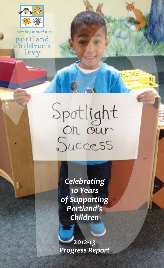

portland<br>children's levy

Þ.

# Spotlight<br>On our<br>Success

*Celebrating 10 Years of Supporting Portland's Children*

*2012-13 Progress Report*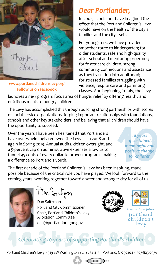

**[www.portlandchildrenslevy.org](http://www.portlandchildrenslevy.org%20%20%20)  Follow us on Facebook**

# *Dear Portlander,*

In 2002, I could not have imagined the effect that the Portland Children's Levy would have on the health of the city's families and the city itself.

For youngsters, we have provided a smoother route to kindergarten; for older students, safe and high-quality after-school and mentoring programs; for foster care children, strong community connections and assistance as they transition into adulthood; for stressed families struggling with violence, respite care and parenting classes. And beginning in July, the Levy

launches a new program focus area of hunger relief by offering healthy and nutritious meals to hungry children.

The Levy has accomplished this through building strong partnerships with scores of social service organizations, forging important relationships with foundations, schools and other key stakeholders, and believing that all children should have the opportunity to succeed.

Over the years I have been heartened that Portlanders have overwhelmingly renewed the Levy — in 2008 and again in Spring 2013. Annual audits, citizen oversight, and a 5-percent cap on administrative expenses allow us to funnel 95 cents of every dollar to proven programs making a difference to Portland's youth.

*10 years of sustained, meaningful and positive change for children*

The first decade of the Portland Children's Levy has been inspiring, made possible because of the critical role you have played. We look forward to the coming years, working together toward a safer and stronger city for all of us.



Dan Saltzman Portland City Commissioner Chair, Portland Children's Levy Allocation Committee dan@portlandoregon.gov





*Investing in our future* portland children's levy

# *Celebrating 10 years of supporting Portland's children*

Portland Children's Levy · 319 SW Washington St., Suite 415 · Portland, OR 97204 · 503-823-2936

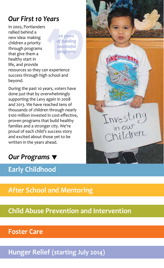# *Our First 10 Years*

In 2002, Portlanders rallied behind a new idea: making children a priority through programs that give them a healthy start in life, and provide

*10 years of funding successful programs*

resources so they can experience success through high school and beyond.

During the past 10 years, voters have done just that by overwhelmingly supporting the Levy again in 2008 and 2013. We have reached tens of thousands of children through nearly \$100 million invested in cost-effective, proven programs that build healthy families and a stronger city. We're proud of each child's success story and excited about those yet to be written in the years ahead.



# **Early Childhood**



# **After School and Mentoring**

**Child Abuse Prevention and Intervention**

### **Foster Care**

**Hunger Relief (starting July 2014)**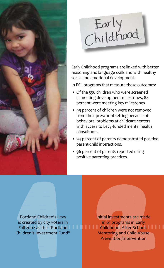



Early Childhood programs are linked with better reasoning and language skills and with healthy social and emotional development.

In PCL programs that measure these outcomes:

- Of the 536 children who were screened in meeting development milestones, 88 percent were meeting key milestones.
- 99 percent of children were not removed from their preschool setting because of behavioral problems at childcare centers with access to Levy-funded mental health consultants.
- 94 percent of parents demonstrated positive parent-child interactions.
- 96 percent of parents reported using positive parenting practices.

Portland Children's Levy is created by city voters in Fall 2002 as the "Portland Children's Investment Fund"

Initial investments are made in 61 programs in Early Childhood, After School, Mentoring and Child Abuse Prevention/Intervention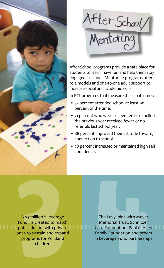



After-School programs provide a safe place for students to learn, have fun and help them stay engaged in school. Mentoring programs offer role models and one-to-one adult support to increase social and academic skills.

In PCL programs that measure these outcomes:

- 72 percent attended school at least 90 percent of the time.
- 71 percent who were suspended or expelled the previous year received fewer or no referrals last school year.
- 88 percent improved their attitude toward/ connection to school.
- 78 percent increased or maintained high self confidence.

A \$3 million "Leverage Fund" is created to match public dollars with private ones to sustain and expand programs for Portland children

The Levy joins with Meyer Memorial Trust, Schnitzer Care Foundation, Paul C. Allen Family Foundation and others in Leverage Fund partnerships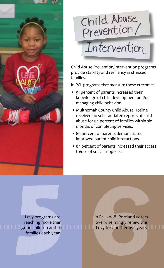

# Child Abuse

# Intervention

Child Abuse Prevention/Intervention programs provide stability and resiliency in stressed families.

In PCL programs that measure these outcomes:

- 91 percent of parents increased their knowledge of child development and/or managing child behavior.
- Multnomah County Child Abuse Hotline received no substantiated reports of child abuse for 94 percent of families within six months of completing services.
- 86 percent of parents demonstrated improved parent-child interactions.
- 84 percent of parents increased their access to/use of social supports.

Levy programs are reaching more than 15,000 children and their families each year

In Fall 2008, Portland voters overwhelmingly renew the Levy for another five years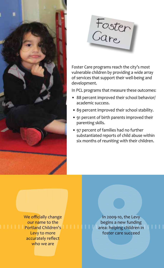



Foster Care programs reach the city's most vulnerable children by providing a wide array of services that support their well-being and development.

In PCL programs that measure these outcomes:

- 88 percent improved their school behavior/ academic success.
- 89 percent improved their school stability.
- 91 percent of birth parents improved their parenting skills.
- 97 percent of families had no further substantiated reports of child abuse within six months of reuniting with their children.

We officially change our name to the Portland Children's Levy to more accurately reflect who we are

In 2009-10, the Levy begins a new funding area: helping children in foster care succeed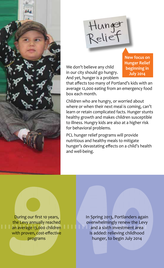

Hunger<br>Relief

We don't believe any child in our city should go hungry. And yet, hunger is a problem **New focus on Hunger Relief beginning in July 2014**

that affects too many of Portland's kids with an average 12,000 eating from an emergency food box each month.

Children who are hungry, or worried about where or when their next meal is coming, can't learn or retain complicated facts. Hunger stunts healthy growth and makes children susceptible to illness. Hungry kids are also at a higher risk for behavioral problems.

PCL hunger relief programs will provide nutritious and healthy meals to mitigate hunger's devastating effects on a child's health and well-being.

During our first 10 years, the Levy annually reached an average 13,000 children with proven, cost-effective programs

In Spring 2013, Portlanders again overwhelmingly renew the Levy and a sixth investment area is added: relieving childhood hunger, to begin July 2014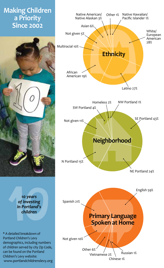# **Making Children a Priority Since 2002**



*10 years of investing in Portland's children*

\* A detailed breakdown of Portland Children's Levy demographics, including numbers of children served by city Zip Code, can be found on the Portland Children's Levy website: www.portlandchildrenslevy.org

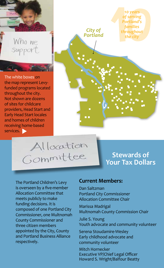

The white boxes on the map represent Levyfunded programs located throughout the city. Not shown are dozens of sites for childcare providers, Head Start and Early Head Start locales and homes of children receiving home-based services.

*10 years of serving Portland's families City of throughout Portlandthe city* e.<br>Se

Allocation Committee

# **Stewards of Your Tax Dollars**

The Portland Children's Levy is overseen by a five-member Allocation Committee that meets publicly to make funding decisions. It is composed of one Portland City Commissioner, one Multnomah County Commissioner and three citizen members appointed by the City, County and Portland Business Alliance respectively.

#### **Current Members:**

Dan Saltzman Portland City Commissioner Allocation Committee Chair

Marissa Madrigal Multnomah County Commission Chair

Julie S. Young Youth advocate and community volunteer

Serena Stoudamire-Wesley Early childhood advocate and community volunteer

Mitch Hornecker Executive VP/Chief Legal Officer Howard S. Wright/Balfour Beatty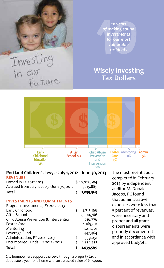

*10 years of making sound investments for our most vulnerable residents*

# **Wisely Investing Tax Dollars**



#### **Portland Children's Levy ~ July 1, 2012 - June 30, 2013 Revenues**

| <b>Total</b>                              | \$11,039,569 |  |
|-------------------------------------------|--------------|--|
| Accrued from July 1, 2003 - June 30, 2012 | 1,015,885    |  |
| Earned in FY 2012-2013                    | \$10,023,684 |  |
|                                           |              |  |

#### **Investments and Commitments**

| Program Investments, FY 2012-2013     |                 |
|---------------------------------------|-----------------|
| Early Childhood                       | \$<br>2,715,168 |
| After School                          | 2,000,766       |
| Child Abuse Prevention & Intervention | 1,616,776       |
| <b>Foster Care</b>                    | 1,169,011       |
| Mentoring                             | 1,011,701       |
| Leverage Fund                         | 447,364         |
| Administration, FY 2012 - 2013        | \$<br>539,051   |
| Encumbered Funds, FY 2012 - 2013      | 1,539,732       |
| <b>Total</b>                          | 11,039,569      |

City homeowners support the Levy through a property tax of about \$60 a year for a home with an assessed value of \$150,000. The most recent audit completed in February 2014 by independent auditor McDonald Jacobs, PC found that administrative expenses were less than 5 percent of revenues, were necessary and proper and all grant disbursements were properly documented and in accordance with approved budgets.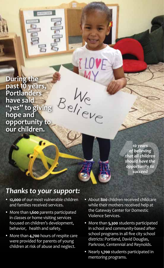**During the past 10 years, Portlanders have said "yes" to giving hope and opportunity to our children.**

**IN UPLIE CHARL** 

*10 years of believing that all children should have the opportunity to succeed*

# *Thanks to your support:*

- **12,000** of our most vulnerable children and families received services.
- More than **1,600** parents participated in classes or home visiting services focused on children's development, behavior, health and safety.
- More than **4,700** hours of respite care were provided for parents of young children at risk of abuse and neglect.
- About **800** children received childcare while their mothers received help at the Gateway Center for Domestic Violence Services.
- More than **5,300** students participated in school and community-based afterschool programs in all five city school districts: Portland, David Douglas, Parkrose, Centennial and Reynolds.
- Nearly **1,700** students participated in mentoring programs.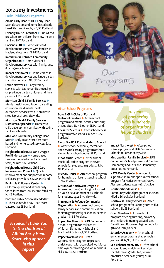#### **2012-2013 Investments**

#### **Early Childhood Programs**

**Albina Early Head Start** Early Head Start classroom and home-based Early Head Start services; N, NE, SE Portland.

**Friendly House Preschool > Subsidized** preschool for children from low-income families; NW Portland.

**Hacienda CDC** Home-visit child development services with families in Hacienda locations; N, NE Portland.

**Immigrant & Refugee Community Organization** Mome-visit child development services with immigrants & refugees; citywide.

**Impact Northwest** Home-visit child development services and kindergarten transition services; NE, SE Portland.

**Latino Network** Early literacy services with Latino families focusing on pre-kindergarten children and their parents; E Portland.

**Morrison Child & Family Services** Mental health consultation, parenting education, child mental health outpatient services with 10 childcare sites & preschools; citywide.

**Morrison Child & Family Services**  Listos Para Aprender **Matchell** Home-visit child development services with Latino families; citywide.

**Mt. Hood Community College Head Start** Early Head Start classroombased and home-based services; East Portland.

**Neighborhood House Early Oregon Pre-Kindergarten** Home-based services modeled after Early Head Start; N, NW, SW Portland.

**Neighborhood House Child Care Improvement Project Quality** improvement and support for in-home childcare providers; SE, SW Portland.

**Peninsula Children's Center** Childcare quality and affordability for children from low-income families; N, NE Portland.

**Portland Public Schools Head Start** Three extended-day Head Start classrooms; SE Portland.

> *A special Thank You to the children at Albina Early Head Start who appear in this report*



#### **After-School Programs**

**Boys & Girls Clubs of Portland Metropolitan Area** After-school program and mental health counseling at Club sites; N, NE, outer SE Portland.

**Chess for Success** After-school chess program at five schools; outer NE, SE Portland.

**Camp Fire USA Portland Metro Council** After-school academic, recreation and service learning program at three elementary schools; outer SE Portland.

**Ethos Music Center** > After-school music education program at seven schools for students in grades 2-8; N, NE Portland.

**Friendly House** > After-school program for homeless children attending school in NW Portland.

**Girls Inc. of Northwest Oregon** After-school program for girls focused on youth development at six schools for students ages 8-15; citywide.

**Immigrant & Refugee Community Organization** After-school program, family services and parent education for immigrants/refugees for students in grades 5-8; SE Portland.

**Impact Northwest > SUN Community** School program for children at Whitman Elementary School and Franklin High School; SE Portland.

**Impact Northwest > Urban** Opportunities program to prepare at-risk youth with accredited workforce employment training and job readiness skills; N, NE, SE Portland.

*10 years of partnering with hundreds of organizations helping children*

**Impact Northwest** After-school science program at SUN Community Schools in Portland; citywide.

**Metropolitan Family Service** SUN Community School program at Glenfair Elementary and Parklane Elementary; outer NE, SE Portland.

**NAYA Family Center** Academic support, cultural and sports after-school program for Native American/Native Alaskan students ages 5-18; citywide.

**Neighborhood House** > SUN Community School program at Jackson Middle School; SW Portland.

**Northwest Family Services** > Afterschool program for Latino youth at five schools; N, SE Portland.

**Open Meadow > After-school** program offering tutoring, advocacy and leadership training at Madison, Franklin and Roosevelt high schools for 9th and 10th graders.

**Saturday Academy > After-school** enrichment programs at 12 schools in grades 1-8; N,NE, SE Portland.

**Self Enhancement, Inc.** After-school academic and enrichment services for children in grades 6-8, focused on African-American youth; N, NE Portland.